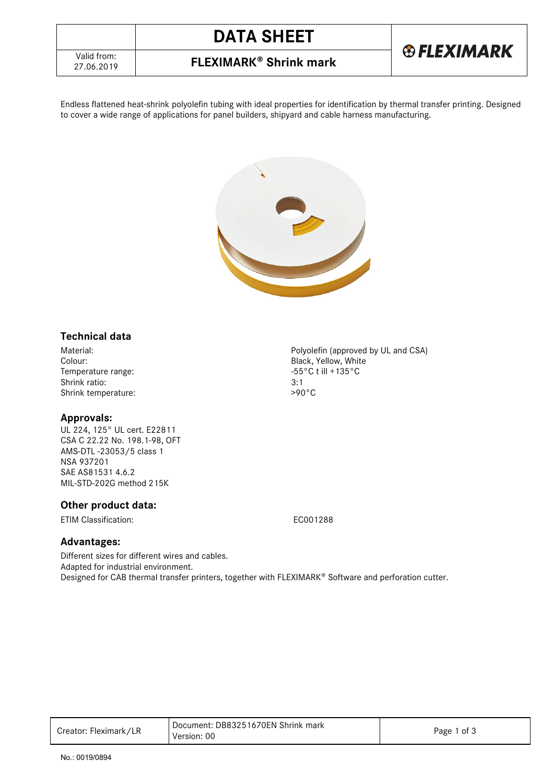

## 27.06.2019 **FLEXIMARK Shrink mark**

Endless flattened heat-shrink polyolefin tubing with ideal properties for identification by thermal transfer printing. Designed to cover a wide range of applications for panel builders, shipyard and cable harness manufacturing.



### **Technical data**

Material: Material: Polyolefin (approved by UL and CSA)<br>Colour: Black, Yellow, White Temperature range:  $-55$ <br>Shrink ratio:  $3:1$ Shrink ratio: 3:1<br>Shrink temperature: 3:1<br>290°C Shrink temperature:

#### **Approvals:**

UL 224, 125° UL cert. E22811 CSA C 22.22 No. 198.1-98, OFT AMS-DTL -23053/5 class 1 NSA 937201 SAE AS81531 4.6.2 MIL-STD-202G method 215K

### **Other product data:**

ETIM Classification: EC001288

Black, Yellow, White<br>-55°C t ill +135°C

#### **Advantages:**

Different sizes for different wires and cables. Adapted for industrial environment. Designed for CAB thermal transfer printers, together with FLEXIMARK® Software and perforation cutter.

| Creator: Fleximark/LR | Document: DB83251670EN Shrink mark<br>Version: 00 | Page 1 of 3 |
|-----------------------|---------------------------------------------------|-------------|
|-----------------------|---------------------------------------------------|-------------|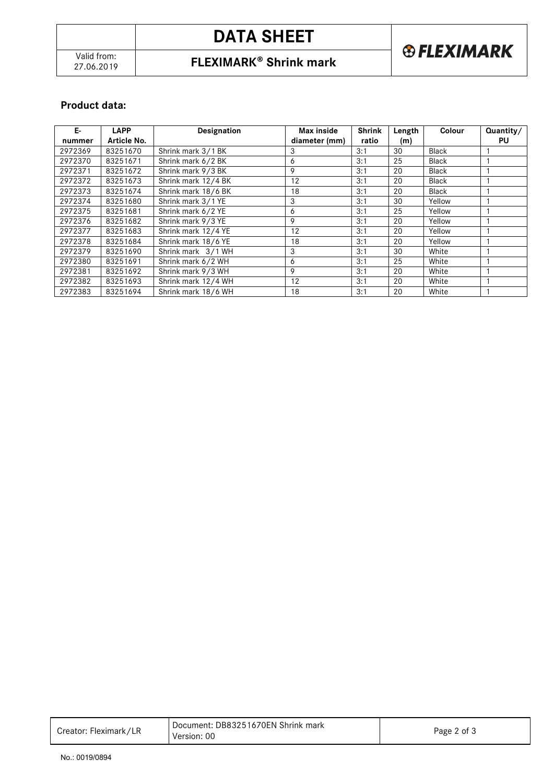# **DATA SHEET**

# 27.06.2019 **FLEXIMARK Shrink mark**



## **Product data:**

| Е-      | <b>LAPP</b> | Designation         | Max inside    | <b>Shrink</b> | Length | <b>Colour</b> | Quantity/ |
|---------|-------------|---------------------|---------------|---------------|--------|---------------|-----------|
| nummer  | Article No. |                     | diameter (mm) | ratio         | (m)    |               | PU        |
| 2972369 | 83251670    | Shrink mark 3/1 BK  | 3             | 3:1           | 30     | Black         |           |
| 2972370 | 83251671    | Shrink mark 6/2 BK  | 6             | 3:1           | 25     | Black         |           |
| 2972371 | 83251672    | Shrink mark 9/3 BK  | 9             | 3:1           | 20     | Black         |           |
| 2972372 | 83251673    | Shrink mark 12/4 BK | 12            | 3:1           | 20     | Black         |           |
| 2972373 | 83251674    | Shrink mark 18/6 BK | 18            | 3:1           | 20     | Black         |           |
| 2972374 | 83251680    | Shrink mark 3/1 YE  | 3             | 3:1           | 30     | Yellow        |           |
| 2972375 | 83251681    | Shrink mark 6/2 YE  | 6             | 3:1           | 25     | Yellow        |           |
| 2972376 | 83251682    | Shrink mark 9/3 YE  | 9             | 3:1           | 20     | Yellow        |           |
| 2972377 | 83251683    | Shrink mark 12/4 YE | 12            | 3:1           | 20     | Yellow        |           |
| 2972378 | 83251684    | Shrink mark 18/6 YE | 18            | 3:1           | 20     | Yellow        |           |
| 2972379 | 83251690    | Shrink mark 3/1 WH  | 3             | 3:1           | 30     | White         |           |
| 2972380 | 83251691    | Shrink mark 6/2 WH  | 6             | 3:1           | 25     | White         |           |
| 2972381 | 83251692    | Shrink mark 9/3 WH  | 9             | 3:1           | 20     | White         |           |
| 2972382 | 83251693    | Shrink mark 12/4 WH | 12            | 3:1           | 20     | White         |           |
| 2972383 | 83251694    | Shrink mark 18/6 WH | 18            | 3:1           | 20     | White         |           |

| Creator: Fleximark/LR | Document: DB83251670EN Shrink mark<br>Version: 00 | Page 2 of 3 |
|-----------------------|---------------------------------------------------|-------------|
|-----------------------|---------------------------------------------------|-------------|